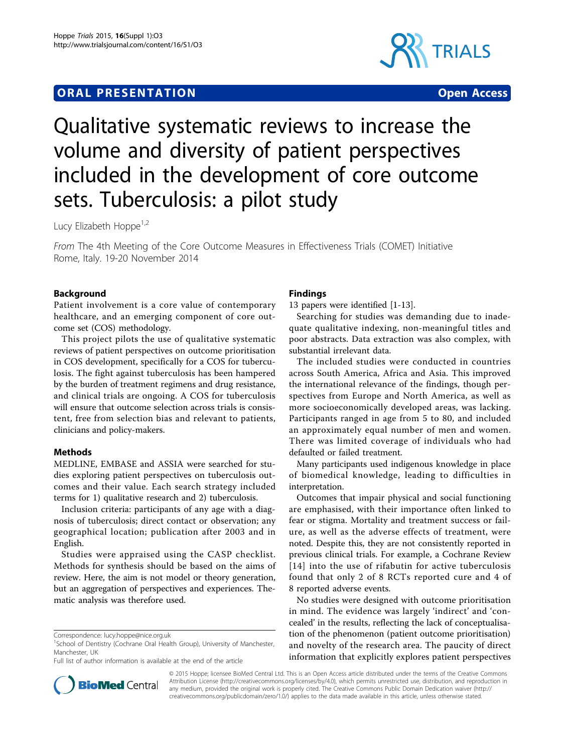## **ORAL PRESENTATION CONSUMING ACCESS**



# Qualitative systematic reviews to increase the volume and diversity of patient perspectives included in the development of core outcome sets. Tuberculosis: a pilot study

Lucy Elizabeth Hoppe<sup>1,2</sup>

From The 4th Meeting of the Core Outcome Measures in Effectiveness Trials (COMET) Initiative Rome, Italy. 19-20 November 2014

## Background

Patient involvement is a core value of contemporary healthcare, and an emerging component of core outcome set (COS) methodology.

This project pilots the use of qualitative systematic reviews of patient perspectives on outcome prioritisation in COS development, specifically for a COS for tuberculosis. The fight against tuberculosis has been hampered by the burden of treatment regimens and drug resistance, and clinical trials are ongoing. A COS for tuberculosis will ensure that outcome selection across trials is consistent, free from selection bias and relevant to patients, clinicians and policy-makers.

## Methods

MEDLINE, EMBASE and ASSIA were searched for studies exploring patient perspectives on tuberculosis outcomes and their value. Each search strategy included terms for 1) qualitative research and 2) tuberculosis.

Inclusion criteria: participants of any age with a diagnosis of tuberculosis; direct contact or observation; any geographical location; publication after 2003 and in English.

Studies were appraised using the CASP checklist. Methods for synthesis should be based on the aims of review. Here, the aim is not model or theory generation, but an aggregation of perspectives and experiences. Thematic analysis was therefore used.

## Findings

13 papers were identified [[1](#page-1-0)-[13\]](#page-1-0).

Searching for studies was demanding due to inadequate qualitative indexing, non-meaningful titles and poor abstracts. Data extraction was also complex, with substantial irrelevant data.

The included studies were conducted in countries across South America, Africa and Asia. This improved the international relevance of the findings, though perspectives from Europe and North America, as well as more socioeconomically developed areas, was lacking. Participants ranged in age from 5 to 80, and included an approximately equal number of men and women. There was limited coverage of individuals who had defaulted or failed treatment.

Many participants used indigenous knowledge in place of biomedical knowledge, leading to difficulties in interpretation.

Outcomes that impair physical and social functioning are emphasised, with their importance often linked to fear or stigma. Mortality and treatment success or failure, as well as the adverse effects of treatment, were noted. Despite this, they are not consistently reported in previous clinical trials. For example, a Cochrane Review [[14\]](#page-1-0) into the use of rifabutin for active tuberculosis found that only 2 of 8 RCTs reported cure and 4 of 8 reported adverse events.

No studies were designed with outcome prioritisation in mind. The evidence was largely 'indirect' and 'concealed' in the results, reflecting the lack of conceptualisation of the phenomenon (patient outcome prioritisation) and novelty of the research area. The paucity of direct information that explicitly explores patient perspectives



© 2015 Hoppe; licensee BioMed Central Ltd. This is an Open Access article distributed under the terms of the Creative Commons Attribution License [\(http://creativecommons.org/licenses/by/4.0](http://creativecommons.org/licenses/by/4.0)), which permits unrestricted use, distribution, and reproduction in any medium, provided the original work is properly cited. The Creative Commons Public Domain Dedication waiver [\(http://](http://creativecommons.org/publicdomain/zero/1.0/) [creativecommons.org/publicdomain/zero/1.0/](http://creativecommons.org/publicdomain/zero/1.0/)) applies to the data made available in this article, unless otherwise stated.

Correspondence: [lucy.hoppe@nice.org.uk](mailto:lucy.hoppe@nice.org.uk)

<sup>&</sup>lt;sup>1</sup>School of Dentistry (Cochrane Oral Health Group), University of Manchester, Manchester, UK

Full list of author information is available at the end of the article